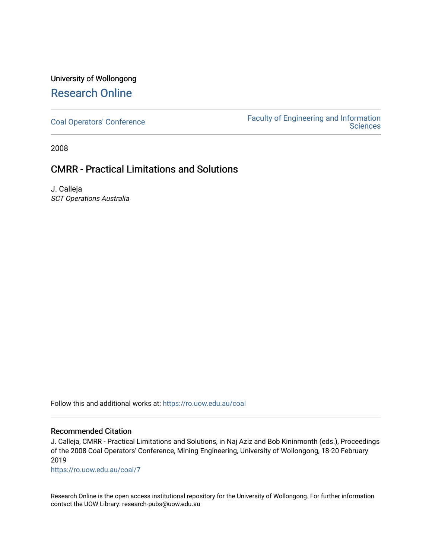## University of Wollongong [Research Online](https://ro.uow.edu.au/)

[Coal Operators' Conference](https://ro.uow.edu.au/coal) [Faculty of Engineering and Information](https://ro.uow.edu.au/eis)  **Sciences** 

2008

### CMRR - Practical Limitations and Solutions

J. Calleja SCT Operations Australia

Follow this and additional works at: [https://ro.uow.edu.au/coal](https://ro.uow.edu.au/coal?utm_source=ro.uow.edu.au%2Fcoal%2F7&utm_medium=PDF&utm_campaign=PDFCoverPages) 

#### Recommended Citation

J. Calleja, CMRR - Practical Limitations and Solutions, in Naj Aziz and Bob Kininmonth (eds.), Proceedings of the 2008 Coal Operators' Conference, Mining Engineering, University of Wollongong, 18-20 February 2019

[https://ro.uow.edu.au/coal/7](https://ro.uow.edu.au/coal/7?utm_source=ro.uow.edu.au%2Fcoal%2F7&utm_medium=PDF&utm_campaign=PDFCoverPages)

Research Online is the open access institutional repository for the University of Wollongong. For further information contact the UOW Library: research-pubs@uow.edu.au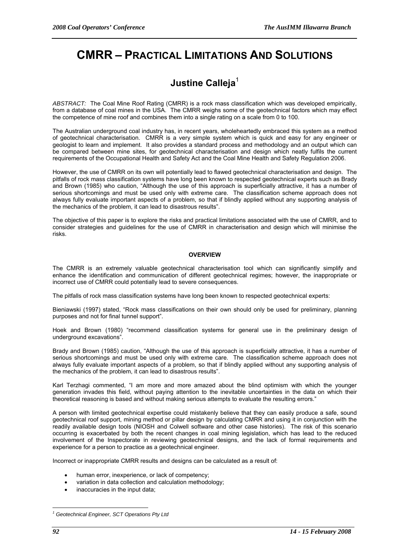# **CMRR – PRACTICAL LIMITATIONS AND SOLUTIONS**

# **Justine Calleja**<sup>1</sup>

*ABSTRACT:* The Coal Mine Roof Rating (CMRR) is a rock mass classification which was developed empirically, from a database of coal mines in the USA. The CMRR weighs some of the geotechnical factors which may effect the competence of mine roof and combines them into a single rating on a scale from 0 to 100.

The Australian underground coal industry has, in recent years, wholeheartedly embraced this system as a method of geotechnical characterisation. CMRR is a very simple system which is quick and easy for any engineer or geologist to learn and implement. It also provides a standard process and methodology and an output which can be compared between mine sites, for geotechnical characterisation and design which neatly fulfils the current requirements of the Occupational Health and Safety Act and the Coal Mine Health and Safety Regulation 2006.

However, the use of CMRR on its own will potentially lead to flawed geotechnical characterisation and design. The pitfalls of rock mass classification systems have long been known to respected geotechnical experts such as Brady and Brown (1985) who caution, "Although the use of this approach is superficially attractive, it has a number of serious shortcomings and must be used only with extreme care. The classification scheme approach does not always fully evaluate important aspects of a problem, so that if blindly applied without any supporting analysis of the mechanics of the problem, it can lead to disastrous results".

The objective of this paper is to explore the risks and practical limitations associated with the use of CMRR, and to consider strategies and guidelines for the use of CMRR in characterisation and design which will minimise the risks.

#### **OVERVIEW**

The CMRR is an extremely valuable geotechnical characterisation tool which can significantly simplify and enhance the identification and communication of different geotechnical regimes; however, the inappropriate or incorrect use of CMRR could potentially lead to severe consequences.

The pitfalls of rock mass classification systems have long been known to respected geotechnical experts:

Bieniawski (1997) stated, "Rock mass classifications on their own should only be used for preliminary, planning purposes and not for final tunnel support".

Hoek and Brown (1980) "recommend classification systems for general use in the preliminary design of underground excavations".

Brady and Brown (1985) caution, "Although the use of this approach is superficially attractive, it has a number of serious shortcomings and must be used only with extreme care. The classification scheme approach does not always fully evaluate important aspects of a problem, so that if blindly applied without any supporting analysis of the mechanics of the problem, it can lead to disastrous results".

Karl Terzhagi commented, "I am more and more amazed about the blind optimism with which the younger generation invades this field, without paying attention to the inevitable uncertainties in the data on which their theoretical reasoning is based and without making serious attempts to evaluate the resulting errors."

A person with limited geotechnical expertise could mistakenly believe that they can easily produce a safe, sound geotechnical roof support, mining method or pillar design by calculating CMRR and using it in conjunction with the readily available design tools (NIOSH and Colwell software and other case histories). The risk of this scenario occurring is exacerbated by both the recent changes in coal mining legislation, which has lead to the reduced involvement of the Inspectorate in reviewing geotechnical designs, and the lack of formal requirements and experience for a person to practice as a geotechnical engineer.

Incorrect or inappropriate CMRR results and designs can be calculated as a result of:

- human error, inexperience, or lack of competency;
- variation in data collection and calculation methodology;
- inaccuracies in the input data;

 $\overline{a}$ 

*<sup>1</sup> Geotechnical Engineer, SCT Operations Pty Ltd*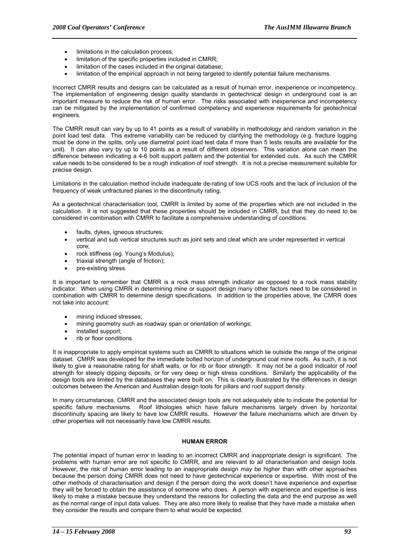- limitations in the calculation process;
- limitation of the specific properties included in CMRR;
- limitation of the cases included in the original database;
- limitation of the empirical approach in not being targeted to identify potential failure mechanisms.

Incorrect CMRR results and designs can be calculated as a result of human error, inexperience or incompetency. The implementation of engineering design quality standards in geotechnical design in underground coal is an important measure to reduce the risk of human error. The risks associated with inexperience and incompetency can be mitigated by the implementation of confirmed competency and experience requirements for geotechnical engineers.

The CMRR result can vary by up to 41 points as a result of variability in methodology and random variation in the point load test data. This extreme variability can be reduced by clarifying the methodology (e.g. fracture logging must be done in the splits, only use diametral point load test data if more than 5 tests results are available for the unit). It can also vary by up to 10 points as a result of different observers. This variation alone can mean the difference between indicating a 4-6 bolt support pattern and the potential for extended cuts. As such the CMRR value needs to be considered to be a rough indication of roof strength. It is not a precise measurement suitable for precise design.

Limitations in the calculation method include inadequate de-rating of low UCS roofs and the lack of inclusion of the frequency of weak unfractured planes in the discontinuity rating.

As a geotechnical characterisation tool, CMRR is limited by some of the properties which are not included in the calculation. It is not suggested that these properties should be included in CMRR, but that they do need to be considered in combination with CMRR to facilitate a comprehensive understanding of conditions:

- faults, dykes, igneous structures;
- vertical and sub vertical structures such as joint sets and cleat which are under represented in vertical core;
- rock stiffness (eg. Young's Modulus);
- triaxial strength (angle of friction):
- pre-existing stress.

It is important to remember that CMRR is a rock mass strength indicator as opposed to a rock mass stability indicator. When using CMRR in determining mine or support design many other factors need to be considered in combination with CMRR to determine design specifications. In addition to the properties above, the CMRR does not take into account:

- mining induced stresses:
- mining geometry such as roadway span or orientation of workings;
- installed support;
- rib or floor conditions.

It is inappropriate to apply empirical systems such as CMRR to situations which lie outside the range of the original dataset. CMRR was developed for the immediate bolted horizon of underground coal mine roofs. As such, it is not likely to give a reasonable rating for shaft walls, or for rib or floor strength. It may not be a good indicator of roof strength for steeply dipping deposits, or for very deep or high stress conditions. Similarly the applicability of the design tools are limited by the databases they were built on. This is clearly illustrated by the differences in design outcomes between the American and Australian design tools for pillars and roof support density.

In many circumstances, CMRR and the associated design tools are not adequately able to indicate the potential for specific failure mechanisms. Roof lithologies which have failure mechanisms largely driven by horizontal discontinuity spacing are likely to have low CMRR results. However the failure mechanisms which are driven by other properties will not necessarily have low CMRR results.

#### **HUMAN ERROR**

The potential impact of human error in leading to an incorrect CMRR and inappropriate design is significant. The problems with human error are not specific to CMRR, and are relevant to all characterisation and design tools. However, the risk of human error leading to an inappropriate design may be higher than with other approaches because the person doing CMRR does not need to have geotechnical experience or expertise. With most of the other methods of characterisation and design if the person doing the work doesn't have experience and expertise they will be forced to obtain the assistance of someone who does. A person with experience and expertise is less likely to make a mistake because they understand the reasons for collecting the data and the end purpose as well as the normal range of input data values. They are also more likely to realise that they have made a mistake when they consider the results and compare them to what would be expected.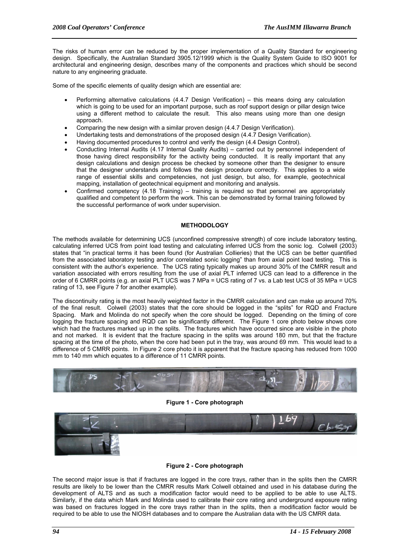The risks of human error can be reduced by the proper implementation of a Quality Standard for engineering design. Specifically, the Australian Standard 3905.12/1999 which is the Quality System Guide to ISO 9001 for architectural and engineering design, describes many of the components and practices which should be second nature to any engineering graduate.

Some of the specific elements of quality design which are essential are:

- Performing alternative calculations (4.4.7 Design Verification) this means doing any calculation which is going to be used for an important purpose, such as roof support design or pillar design twice using a different method to calculate the result. This also means using more than one design approach.
- Comparing the new design with a similar proven design (4.4.7 Design Verification).
- Undertaking tests and demonstrations of the proposed design (4.4.7 Design Verification).
- Having documented procedures to control and verify the design (4.4 Design Control).
- Conducting Internal Audits (4.17 Internal Quality Audits) carried out by personnel independent of those having direct responsibility for the activity being conducted. It is really important that any design calculations and design process be checked by someone other than the designer to ensure that the designer understands and follows the design procedure correctly. This applies to a wide range of essential skills and competencies, not just design, but also, for example, geotechnical mapping, installation of geotechnical equipment and monitoring and analysis.
- Confirmed competency (4.18 Training) training is required so that personnel are appropriately qualified and competent to perform the work. This can be demonstrated by formal training followed by the successful performance of work under supervision.

#### **METHODOLOGY**

The methods available for determining UCS (unconfined compressive strength) of core include laboratory testing, calculating inferred UCS from point load testing and calculating inferred UCS from the sonic log. Colwell (2003) states that "in practical terms it has been found (for Australian Collieries) that the UCS can be better quantified from the associated laboratory testing and/or correlated sonic logging" than from axial point load testing. This is consistent with the author's experience. The UCS rating typically makes up around 30% of the CMRR result and variation associated with errors resulting from the use of axial PLT inferred UCS can lead to a difference in the order of 6 CMRR points (e.g. an axial PLT UCS was 7 MPa = UCS rating of 7 vs. a Lab test UCS of 35 MPa = UCS rating of 13, see Figure 7 for another example).

The discontinuity rating is the most heavily weighted factor in the CMRR calculation and can make up around 70% of the final result. Colwell (2003) states that the core should be logged in the "splits" for RQD and Fracture Spacing. Mark and Molinda do not specify when the core should be logged. Depending on the timing of core logging the fracture spacing and RQD can be significantly different. The Figure 1 core photo below shows core which had the fractures marked up in the splits. The fractures which have occurred since are visible in the photo and not marked. It is evident that the fracture spacing in the splits was around 180 mm, but that the fracture spacing at the time of the photo, when the core had been put in the tray, was around 69 mm. This would lead to a difference of 5 CMRR points. In Figure 2 core photo it is apparent that the fracture spacing has reduced from 1000 mm to 140 mm which equates to a difference of 11 CMRR points.



**Figure 1 - Core photograph** 



#### **Figure 2 - Core photograph**

The second major issue is that if fractures are logged in the core trays, rather than in the splits then the CMRR results are likely to be lower than the CMRR results Mark Colwell obtained and used in his database during the development of ALTS and as such a modification factor would need to be applied to be able to use ALTS. Similarly, if the data which Mark and Molinda used to calibrate their core rating and underground exposure rating was based on fractures logged in the core trays rather than in the splits, then a modification factor would be required to be able to use the NIOSH databases and to compare the Australian data with the US CMRR data.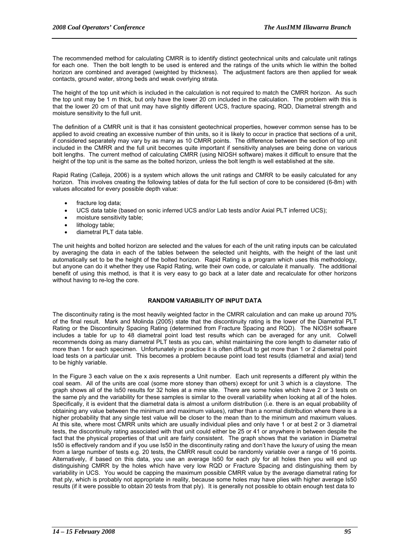The recommended method for calculating CMRR is to identify distinct geotechnical units and calculate unit ratings for each one. Then the bolt length to be used is entered and the ratings of the units which lie within the bolted horizon are combined and averaged (weighted by thickness). The adjustment factors are then applied for weak contacts, ground water, strong beds and weak overlying strata.

The height of the top unit which is included in the calculation is not required to match the CMRR horizon. As such the top unit may be 1 m thick, but only have the lower 20 cm included in the calculation. The problem with this is that the lower 20 cm of that unit may have slightly different UCS, fracture spacing, RQD, Diametral strength and moisture sensitivity to the full unit.

The definition of a CMRR unit is that it has consistent geotechnical properties, however common sense has to be applied to avoid creating an excessive number of thin units, so it is likely to occur in practice that sections of a unit, if considered separately may vary by as many as 10 CMRR points. The difference between the section of top unit included in the CMRR and the full unit becomes quite important if sensitivity analyses are being done on various bolt lengths. The current method of calculating CMRR (using NIOSH software) makes it difficult to ensure that the height of the top unit is the same as the bolted horizon, unless the bolt length is well established at the site.

Rapid Rating (Calleja, 2006) is a system which allows the unit ratings and CMRR to be easily calculated for any horizon. This involves creating the following tables of data for the full section of core to be considered (6-8m) with values allocated for every possible depth value:

- fracture log data;
- UCS data table (based on sonic inferred UCS and/or Lab tests and/or Axial PLT inferred UCS);
- moisture sensitivity table;
- lithology table;
- diametral PLT data table.

The unit heights and bolted horizon are selected and the values for each of the unit rating inputs can be calculated by averaging the data in each of the tables between the selected unit heights, with the height of the last unit automatically set to be the height of the bolted horizon. Rapid Rating is a program which uses this methodology, but anyone can do it whether they use Rapid Rating, write their own code, or calculate it manually. The additional benefit of using this method, is that it is very easy to go back at a later date and recalculate for other horizons without having to re-log the core.

#### **RANDOM VARIABILITY OF INPUT DATA**

The discontinuity rating is the most heavily weighted factor in the CMRR calculation and can make up around 70% of the final result. Mark and Molinda (2005) state that the discontinuity rating is the lower of the Diametral PLT Rating or the Discontinuity Spacing Rating (determined from Fracture Spacing and RQD). The NIOSH software includes a table for up to 48 diametral point load test results which can be averaged for any unit. Colwell recommends doing as many diametral PLT tests as you can, whilst maintaining the core length to diameter ratio of more than 1 for each specimen. Unfortunately in practice it is often difficult to get more than 1 or 2 diametral point load tests on a particular unit. This becomes a problem because point load test results (diametral and axial) tend to be highly variable.

In the Figure 3 each value on the x axis represents a Unit number. Each unit represents a different ply within the coal seam. All of the units are coal (some more stoney than others) except for unit 3 which is a claystone. The graph shows all of the Is50 results for 32 holes at a mine site. There are some holes which have 2 or 3 tests on the same ply and the variability for these samples is similar to the overall variability when looking at all of the holes. Specifically, it is evident that the diametral data is almost a uniform distribution (i.e. there is an equal probability of obtaining any value between the minimum and maximum values), rather than a normal distribution where there is a higher probability that any single test value will be closer to the mean than to the minimum and maximum values. At this site, where most CMRR units which are usually individual plies and only have 1 or at best 2 or 3 diametral tests, the discontinuity rating associated with that unit could either be 25 or 41 or anywhere in between despite the fact that the physical properties of that unit are fairly consistent. The graph shows that the variation in Diametral Is50 is effectively random and if you use Is50 in the discontinuity rating and don't have the luxury of using the mean from a large number of tests e.g. 20 tests, the CMRR result could be randomly variable over a range of 16 points. Alternatively, if based on this data, you use an average Is50 for each ply for all holes then you will end up distinguishing CMRR by the holes which have very low RQD or Fracture Spacing and distinguishing them by variability in UCS. You would be capping the maximum possible CMRR value by the average diametral rating for that ply, which is probably not appropriate in reality, because some holes may have plies with higher average Is50 results (if it were possible to obtain 20 tests from that ply). It is generally not possible to obtain enough test data to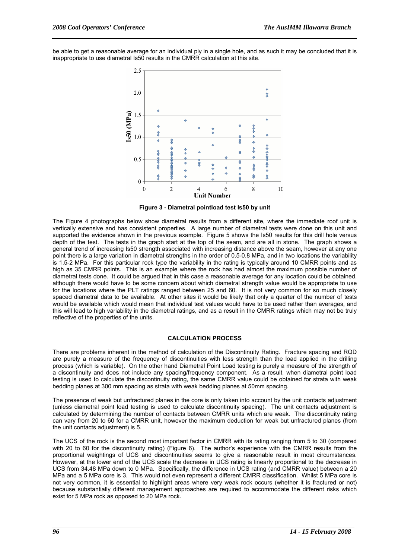be able to get a reasonable average for an individual ply in a single hole, and as such it may be concluded that it is inappropriate to use diametral Is50 results in the CMRR calculation at this site.



**Figure 3 - Diametral pointload test Is50 by unit** 

The Figure 4 photographs below show diametral results from a different site, where the immediate roof unit is vertically extensive and has consistent properties. A large number of diametral tests were done on this unit and supported the evidence shown in the previous example. Figure 5 shows the Is50 results for this drill hole versus depth of the test. The tests in the graph start at the top of the seam, and are all in stone. The graph shows a general trend of increasing Is50 strength associated with increasing distance above the seam, however at any one point there is a large variation in diametral strengths in the order of 0.5-0.8 MPa, and in two locations the variability is 1.5-2 MPa. For this particular rock type the variability in the rating is typically around 10 CMRR points and as high as 35 CMRR points. This is an example where the rock has had almost the maximum possible number of diametral tests done. It could be argued that in this case a reasonable average for any location could be obtained, although there would have to be some concern about which diametral strength value would be appropriate to use for the locations where the PLT ratings ranged between 25 and 60. It is not very common for so much closely spaced diametral data to be available. At other sites it would be likely that only a quarter of the number of tests would be available which would mean that individual test values would have to be used rather than averages, and this will lead to high variability in the diametral ratings, and as a result in the CMRR ratings which may not be truly reflective of the properties of the units.

#### **CALCULATION PROCESS**

There are problems inherent in the method of calculation of the Discontinuity Rating. Fracture spacing and RQD are purely a measure of the frequency of discontinuities with less strength than the load applied in the drilling process (which is variable). On the other hand Diametral Point Load testing is purely a measure of the strength of a discontinuity and does not include any spacing/frequency component. As a result, when diametral point load testing is used to calculate the discontinuity rating, the same CMRR value could be obtained for strata with weak bedding planes at 300 mm spacing as strata with weak bedding planes at 50mm spacing.

The presence of weak but unfractured planes in the core is only taken into account by the unit contacts adjustment (unless diametral point load testing is used to calculate discontinuity spacing). The unit contacts adjustment is calculated by determining the number of contacts between CMRR units which are weak. The discontinuity rating can vary from 20 to 60 for a CMRR unit, however the maximum deduction for weak but unfractured planes (from the unit contacts adjustment) is 5.

The UCS of the rock is the second most important factor in CMRR with its rating ranging from 5 to 30 (compared with 20 to 60 for the discontinuity rating) (Figure 6). The author's experience with the CMRR results from the proportional weightings of UCS and discontinuities seems to give a reasonable result in most circumstances. However, at the lower end of the UCS scale the decrease in UCS rating is linearly proportional to the decrease in UCS from 34.48 MPa down to 0 MPa. Specifically, the difference in UCS rating (and CMRR value) between a 20 MPa and a 5 MPa core is 3. This would not even represent a different CMRR classification. Whilst 5 MPa core is not very common, it is essential to highlight areas where very weak rock occurs (whether it is fractured or not) because substantially different management approaches are required to accommodate the different risks which exist for 5 MPa rock as opposed to 20 MPa rock.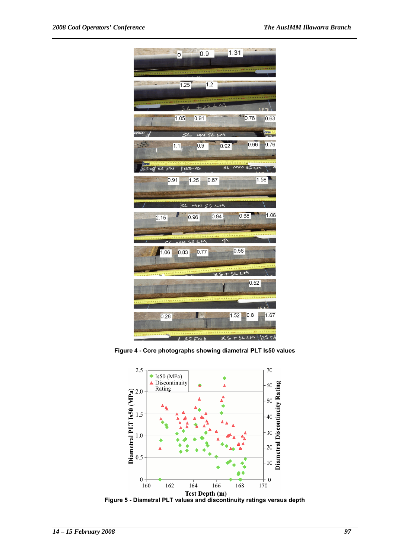

**Figure 4 - Core photographs showing diametral PLT Is50 values** 

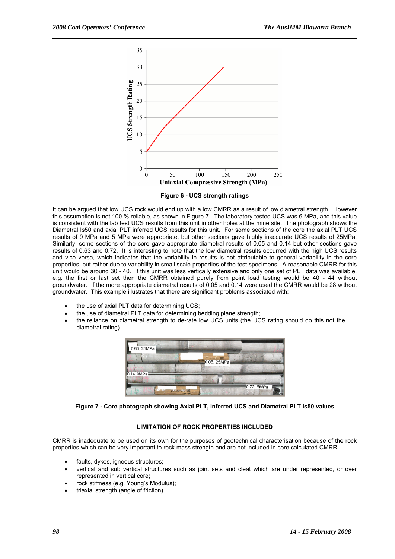

**Figure 6 - UCS strength ratings** 

It can be argued that low UCS rock would end up with a low CMRR as a result of low diametral strength. However this assumption is not 100 % reliable, as shown in Figure 7. The laboratory tested UCS was 6 MPa, and this value is consistent with the lab test UCS results from this unit in other holes at the mine site. The photograph shows the Diametral Is50 and axial PLT inferred UCS results for this unit. For some sections of the core the axial PLT UCS results of 9 MPa and 5 MPa were appropriate, but other sections gave highly inaccurate UCS results of 25MPa. Similarly, some sections of the core gave appropriate diametral results of 0.05 and 0.14 but other sections gave results of 0.63 and 0.72. It is interesting to note that the low diametral results occurred with the high UCS results and vice versa, which indicates that the variability in results is not attributable to general variability in the core properties, but rather due to variability in small scale properties of the test specimens. A reasonable CMRR for this unit would be around 30 - 40. If this unit was less vertically extensive and only one set of PLT data was available, e.g. the first or last set then the CMRR obtained purely from point load testing would be 40 - 44 without groundwater. If the more appropriate diametral results of 0.05 and 0.14 were used the CMRR would be 28 without groundwater. This example illustrates that there are significant problems associated with:

- the use of axial PLT data for determining UCS;
- the use of diametral PLT data for determining bedding plane strength;
- the reliance on diametral strength to de-rate low UCS units (the UCS rating should do this not the diametral rating).



**Figure 7 - Core photograph showing Axial PLT, inferred UCS and Diametral PLT Is50 values** 

#### **LIMITATION OF ROCK PROPERTIES INCLUDED**

CMRR is inadequate to be used on its own for the purposes of geotechnical characterisation because of the rock properties which can be very important to rock mass strength and are not included in core calculated CMRR:

- faults, dykes, igneous structures;
- vertical and sub vertical structures such as joint sets and cleat which are under represented, or over represented in vertical core;
- rock stiffness (e.g. Young's Modulus);
- triaxial strength (angle of friction).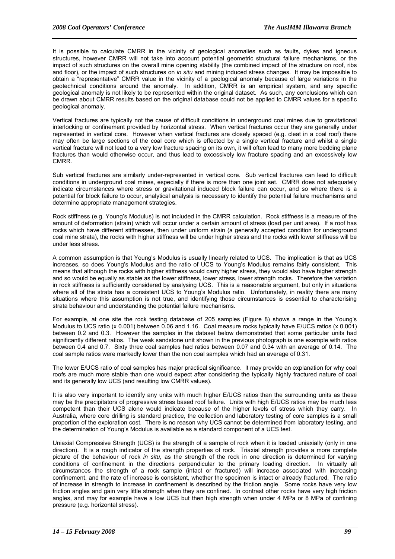It is possible to calculate CMRR in the vicinity of geological anomalies such as faults, dykes and igneous structures, however CMRR will not take into account potential geometric structural failure mechanisms, or the impact of such structures on the overall mine opening stability (the combined impact of the structure on roof, ribs and floor), or the impact of such structures on *in situ* and mining induced stress changes. It may be impossible to obtain a "representative" CMRR value in the vicinity of a geological anomaly because of large variations in the geotechnical conditions around the anomaly. In addition, CMRR is an empirical system, and any specific geological anomaly is not likely to be represented within the original dataset. As such, any conclusions which can be drawn about CMRR results based on the original database could not be applied to CMRR values for a specific geological anomaly.

Vertical fractures are typically not the cause of difficult conditions in underground coal mines due to gravitational interlocking or confinement provided by horizontal stress. When vertical fractures occur they are generally under represented in vertical core. However when vertical fractures are closely spaced (e.g. cleat in a coal roof) there may often be large sections of the coal core which is effected by a single vertical fracture and whilst a single vertical fracture will not lead to a very low fracture spacing on its own, it will often lead to many more bedding plane fractures than would otherwise occur, and thus lead to excessively low fracture spacing and an excessively low CMRR.

Sub vertical fractures are similarly under-represented in vertical core. Sub vertical fractures can lead to difficult conditions in underground coal mines, especially if there is more than one joint set. CMRR does not adequately indicate circumstances where stress or gravitational induced block failure can occur, and so where there is a potential for block failure to occur, analytical analysis is necessary to identify the potential failure mechanisms and determine appropriate management strategies.

Rock stiffness (e.g. Young's Modulus) is not included in the CMRR calculation. Rock stiffness is a measure of the amount of deformation (strain) which will occur under a certain amount of stress (load per unit area). If a roof has rocks which have different stiffnesses, then under uniform strain (a generally accepted condition for underground coal mine strata), the rocks with higher stiffness will be under higher stress and the rocks with lower stiffness will be under less stress.

A common assumption is that Young's Modulus is usually linearly related to UCS. The implication is that as UCS increases, so does Young's Modulus and the ratio of UCS to Young's Modulus remains fairly consistent. This means that although the rocks with higher stiffness would carry higher stress, they would also have higher strength and so would be equally as stable as the lower stiffness, lower stress, lower strength rocks. Therefore the variation in rock stiffness is sufficiently considered by analysing UCS. This is a reasonable argument, but only in situations where all of the strata has a consistent UCS to Young's Modulus ratio. Unfortunately, in reality there are many situations where this assumption is not true, and identifying those circumstances is essential to characterising strata behaviour and understanding the potential failure mechanisms.

For example, at one site the rock testing database of 205 samples (Figure 8) shows a range in the Young's Modulus to UCS ratio (x 0.001) between 0.06 and 1.16. Coal measure rocks typically have E/UCS ratios (x 0.001) between 0.2 and 0.3. However the samples in the dataset below demonstrated that some particular units had significantly different ratios. The weak sandstone unit shown in the previous photograph is one example with ratios between 0.4 and 0.7. Sixty three coal samples had ratios between 0.07 and 0.34 with an average of 0.14. The coal sample ratios were markedly lower than the non coal samples which had an average of 0.31.

The lower E/UCS ratio of coal samples has major practical significance. It may provide an explanation for why coal roofs are much more stable than one would expect after considering the typically highly fractured nature of coal and its generally low UCS (and resulting low CMRR values).

It is also very important to identify any units with much higher E/UCS ratios than the surrounding units as these may be the precipitators of progressive stress based roof failure. Units with high E/UCS ratios may be much less competent than their UCS alone would indicate because of the higher levels of stress which they carry. In Australia, where core drilling is standard practice, the collection and laboratory testing of core samples is a small proportion of the exploration cost. There is no reason why UCS cannot be determined from laboratory testing, and the determination of Young's Modulus is available as a standard component of a UCS test.

Uniaxial Compressive Strength (UCS) is the strength of a sample of rock when it is loaded uniaxially (only in one direction). It is a rough indicator of the strength properties of rock. Triaxial strength provides a more complete picture of the behaviour of rock *in situ,* as the strength of the rock in one direction is determined for varying conditions of confinement in the directions perpendicular to the primary loading direction. In virtually all circumstances the strength of a rock sample (intact or fractured) will increase associated with increasing confinement, and the rate of increase is consistent, whether the specimen is intact or already fractured. The ratio of increase in strength to increase in confinement is described by the friction angle. Some rocks have very low friction angles and gain very little strength when they are confined. In contrast other rocks have very high friction angles, and may for example have a low UCS but then high strength when under 4 MPa or 8 MPa of confining pressure (e.g. horizontal stress).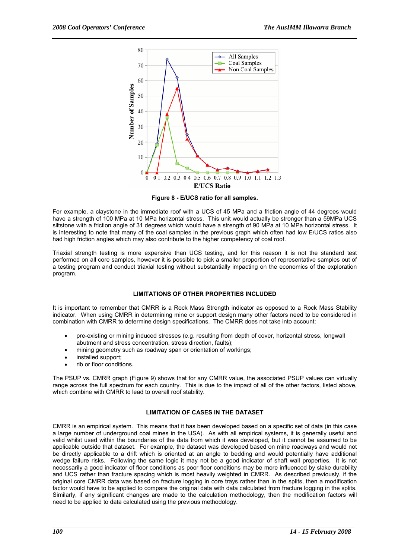

**Figure 8 - E/UCS ratio for all samples.** 

For example, a claystone in the immediate roof with a UCS of 45 MPa and a friction angle of 44 degrees would have a strength of 100 MPa at 10 MPa horizontal stress. This unit would actually be stronger than a 59MPa UCS siltstone with a friction angle of 31 degrees which would have a strength of 90 MPa at 10 MPa horizontal stress. It is interesting to note that many of the coal samples in the previous graph which often had low E/UCS ratios also had high friction angles which may also contribute to the higher competency of coal roof.

Triaxial strength testing is more expensive than UCS testing, and for this reason it is not the standard test performed on all core samples, however it is possible to pick a smaller proportion of representative samples out of a testing program and conduct triaxial testing without substantially impacting on the economics of the exploration program.

#### **LIMITATIONS OF OTHER PROPERTIES INCLUDED**

It is important to remember that CMRR is a Rock Mass Strength indicator as opposed to a Rock Mass Stability indicator. When using CMRR in determining mine or support design many other factors need to be considered in combination with CMRR to determine design specifications. The CMRR does not take into account:

- pre-existing or mining induced stresses (e.g. resulting from depth of cover, horizontal stress, longwall abutment and stress concentration, stress direction, faults);
- mining geometry such as roadway span or orientation of workings;
- installed support;
- rib or floor conditions.

The PSUP vs. CMRR graph (Figure 9) shows that for any CMRR value, the associated PSUP values can virtually range across the full spectrum for each country. This is due to the impact of all of the other factors, listed above, which combine with CMRR to lead to overall roof stability.

#### **LIMITATION OF CASES IN THE DATASET**

CMRR is an empirical system. This means that it has been developed based on a specific set of data (in this case a large number of underground coal mines in the USA). As with all empirical systems, it is generally useful and valid whilst used within the boundaries of the data from which it was developed, but it cannot be assumed to be applicable outside that dataset. For example, the dataset was developed based on mine roadways and would not be directly applicable to a drift which is oriented at an angle to bedding and would potentially have additional wedge failure risks. Following the same logic it may not be a good indicator of shaft wall properties. It is not necessarily a good indicator of floor conditions as poor floor conditions may be more influenced by slake durability and UCS rather than fracture spacing which is most heavily weighted in CMRR. As described previously, if the original core CMRR data was based on fracture logging in core trays rather than in the splits, then a modification factor would have to be applied to compare the original data with data calculated from fracture logging in the splits. Similarly, if any significant changes are made to the calculation methodology, then the modification factors will need to be applied to data calculated using the previous methodology.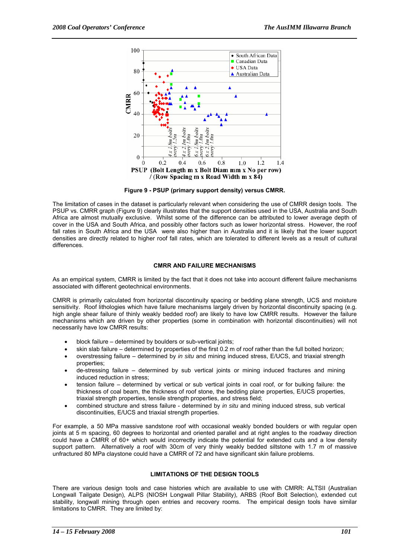

**Figure 9 - PSUP (primary support density) versus CMRR.** 

The limitation of cases in the dataset is particularly relevant when considering the use of CMRR design tools. The PSUP vs. CMRR graph (Figure 9) clearly illustrates that the support densities used in the USA, Australia and South Africa are almost mutually exclusive. Whilst some of the difference can be attributed to lower average depth of cover in the USA and South Africa, and possibly other factors such as lower horizontal stress. However, the roof fall rates in South Africa and the USA were also higher than in Australia and it is likely that the lower support densities are directly related to higher roof fall rates, which are tolerated to different levels as a result of cultural differences.

#### **CMRR AND FAILURE MECHANISMS**

As an empirical system, CMRR is limited by the fact that it does not take into account different failure mechanisms associated with different geotechnical environments.

CMRR is primarily calculated from horizontal discontinuity spacing or bedding plane strength, UCS and moisture sensitivity. Roof lithologies which have failure mechanisms largely driven by horizontal discontinuity spacing (e.g. high angle shear failure of thinly weakly bedded roof) are likely to have low CMRR results. However the failure mechanisms which are driven by other properties (some in combination with horizontal discontinuities) will not necessarily have low CMRR results:

- block failure determined by boulders or sub-vertical joints;
- skin slab failure determined by properties of the first 0.2 m of roof rather than the full bolted horizon;
- overstressing failure determined by *in situ* and mining induced stress, E/UCS, and triaxial strength properties;
- de-stressing failure determined by sub vertical joints or mining induced fractures and mining induced reduction in stress;
- tension failure determined by vertical or sub vertical joints in coal roof, or for bulking failure: the thickness of coal beam, the thickness of roof stone, the bedding plane properties, E/UCS properties, triaxial strength properties, tensile strength properties, and stress field;
- combined structure and stress failure determined by *in situ* and mining induced stress, sub vertical discontinuities, E/UCS and triaxial strength properties.

For example, a 50 MPa massive sandstone roof with occasional weakly bonded boulders or with regular open joints at 5 m spacing, 60 degrees to horizontal and oriented parallel and at right angles to the roadway direction could have a CMRR of 60+ which would incorrectly indicate the potential for extended cuts and a low density support pattern. Alternatively a roof with 30cm of very thinly weakly bedded siltstone with 1.7 m of massive unfractured 80 MPa claystone could have a CMRR of 72 and have significant skin failure problems.

#### **LIMITATIONS OF THE DESIGN TOOLS**

There are various design tools and case histories which are available to use with CMRR: ALTSII (Australian Longwall Tailgate Design), ALPS (NIOSH Longwall Pillar Stability), ARBS (Roof Bolt Selection), extended cut stability, longwall mining through open entries and recovery rooms. The empirical design tools have similar limitations to CMRR. They are limited by: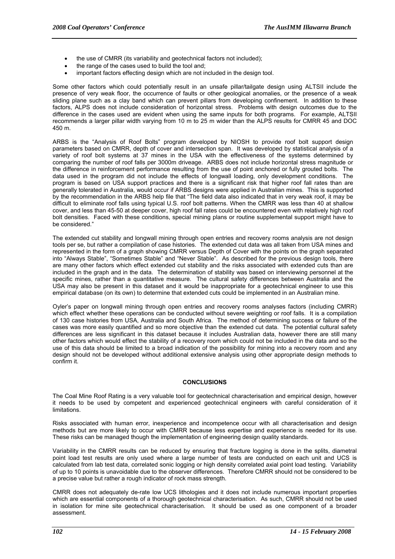- the use of CMRR (its variability and geotechnical factors not included);
- the range of the cases used to build the tool and:
- important factors effecting design which are not included in the design tool.

Some other factors which could potentially result in an unsafe pillar/tailgate design using ALTSII include the presence of very weak floor, the occurrence of faults or other geological anomalies, or the presence of a weak sliding plane such as a clay band which can prevent pillars from developing confinement. In addition to these factors, ALPS does not include consideration of horizontal stress. Problems with design outcomes due to the difference in the cases used are evident when using the same inputs for both programs. For example, ALTSII recommends a larger pillar width varying from 10 m to 25 m wider than the ALPS results for CMRR 45 and DOC 450 m.

ARBS is the "Analysis of Roof Bolts" program developed by NIOSH to provide roof bolt support design parameters based on CMRR, depth of cover and intersection span. It was developed by statistical analysis of a variety of roof bolt systems at 37 mines in the USA with the effectiveness of the systems determined by comparing the number of roof falls per 3000m driveage. ARBS does not include horizontal stress magnitude or the difference in reinforcement performance resulting from the use of point anchored or fully grouted bolts. The data used in the program did not include the effects of longwall loading, only development conditions. The program is based on USA support practices and there is a significant risk that higher roof fall rates than are generally tolerated in Australia, would occur if ARBS designs were applied in Australian mines. This is supported by the recommendation in the ARBS help file that "The field data also indicated that in very weak roof, it may be difficult to eliminate roof falls using typical U.S. roof bolt patterns. When the CMRR was less than 40 at shallow cover, and less than 45-50 at deeper cover, high roof fall rates could be encountered even with relatively high roof bolt densities. Faced with these conditions, special mining plans or routine supplemental support might have to be considered."

The extended cut stability and longwall mining through open entries and recovery rooms analysis are not design tools per se, but rather a compilation of case histories. The extended cut data was all taken from USA mines and represented in the form of a graph showing CMRR versus Depth of Cover with the points on the graph separated into "Always Stable", "Sometimes Stable" and "Never Stable". As described for the previous design tools, there are many other factors which effect extended cut stability and the risks associated with extended cuts than are included in the graph and in the data. The determination of stability was based on interviewing personnel at the specific mines, rather than a quantitative measure. The cultural safety differences between Australia and the USA may also be present in this dataset and it would be inappropriate for a geotechnical engineer to use this empirical database (on its own) to determine that extended cuts could be implemented in an Australian mine.

Oyler's paper on longwall mining through open entries and recovery rooms analyses factors (including CMRR) which effect whether these operations can be conducted without severe weighting or roof falls. It is a compilation of 130 case histories from USA, Australia and South Africa. The method of determining success or failure of the cases was more easily quantified and so more objective than the extended cut data. The potential cultural safety differences are less significant in this dataset because it includes Australian data, however there are still many other factors which would effect the stability of a recovery room which could not be included in the data and so the use of this data should be limited to a broad indication of the possibility for mining into a recovery room and any design should not be developed without additional extensive analysis using other appropriate design methods to confirm it.

#### **CONCLUSIONS**

The Coal Mine Roof Rating is a very valuable tool for geotechnical characterisation and empirical design, however it needs to be used by competent and experienced geotechnical engineers with careful consideration of it limitations.

Risks associated with human error, inexperience and incompetence occur with all characterisation and design methods but are more likely to occur with CMRR because less expertise and experience is needed for its use. These risks can be managed though the implementation of engineering design quality standards.

Variability in the CMRR results can be reduced by ensuring that fracture logging is done in the splits, diametral point load test results are only used where a large number of tests are conducted on each unit and UCS is calculated from lab test data, correlated sonic logging or high density correlated axial point load testing. Variability of up to 10 points is unavoidable due to the observer differences. Therefore CMRR should not be considered to be a precise value but rather a rough indicator of rock mass strength.

CMRR does not adequately de-rate low UCS lithologies and it does not include numerous important properties which are essential components of a thorough geotechnical characterisation. As such, CMRR should not be used in isolation for mine site geotechnical characterisation. It should be used as one component of a broader assessment.